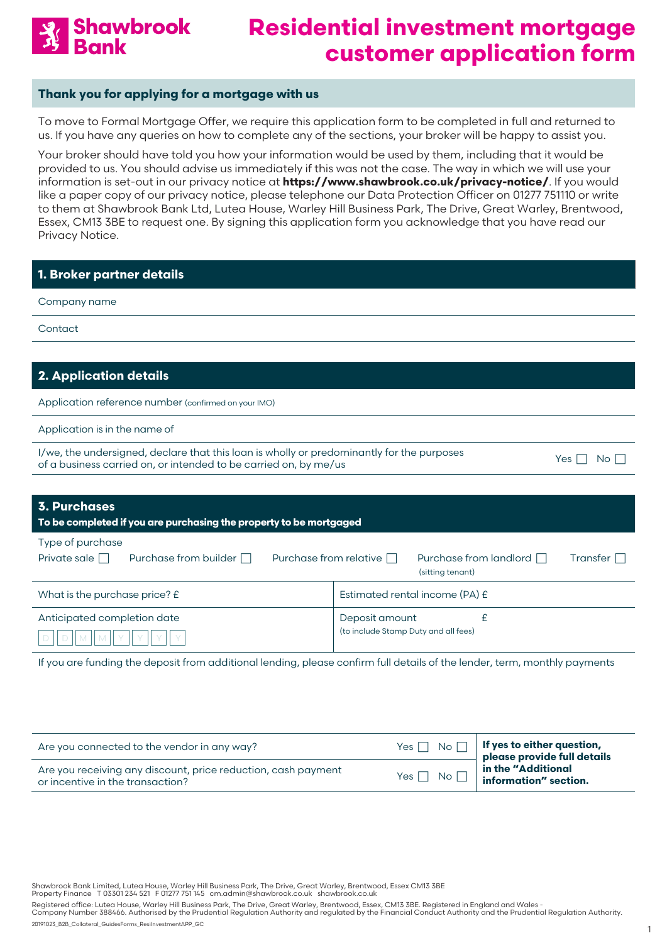

#### **Thank you for applying for a mortgage with us**

To move to Formal Mortgage Offer, we require this application form to be completed in full and returned to us. If you have any queries on how to complete any of the sections, your broker will be happy to assist you.

Your broker should have told you how your information would be used by them, including that it would be provided to us. You should advise us immediately if this was not the case. The way in which we will use your information is set-out in our privacy notice at **<https://www.shawbrook.co.uk/privacy-notice/>**. If you would like a paper copy of our privacy notice, please telephone our Data Protection Officer on 01277 751110 or write to them at Shawbrook Bank Ltd, Lutea House, Warley Hill Business Park, The Drive, Great Warley, Brentwood, Essex, CM13 3BE to request one. By signing this application form you acknowledge that you have read our Privacy Notice.

| 1. Broker partner details                                                                                                                                                             |                                                                                                  |  |  |
|---------------------------------------------------------------------------------------------------------------------------------------------------------------------------------------|--------------------------------------------------------------------------------------------------|--|--|
| Company name                                                                                                                                                                          |                                                                                                  |  |  |
| Contact                                                                                                                                                                               |                                                                                                  |  |  |
|                                                                                                                                                                                       |                                                                                                  |  |  |
| 2. Application details                                                                                                                                                                |                                                                                                  |  |  |
| Application reference number (confirmed on your IMO)                                                                                                                                  |                                                                                                  |  |  |
| Application is in the name of                                                                                                                                                         |                                                                                                  |  |  |
| I/we, the undersigned, declare that this loan is wholly or predominantly for the purposes<br>Yes $\Box$<br>No    <br>of a business carried on, or intended to be carried on, by me/us |                                                                                                  |  |  |
|                                                                                                                                                                                       |                                                                                                  |  |  |
| <b>3. Purchases</b><br>To be completed if you are purchasing the property to be mortgaged                                                                                             |                                                                                                  |  |  |
| Type of purchase<br>Private sale $\Box$<br>Purchase from builder [                                                                                                                    | Purchase from relative $\Box$<br>Purchase from landlord □<br>Transfer $\Box$<br>(sitting tenant) |  |  |
| Estimated rental income (PA) £<br>What is the purchase price? £                                                                                                                       |                                                                                                  |  |  |
| £<br>Anticipated completion date<br>Deposit amount<br>(to include Stamp Duty and all fees)                                                                                            |                                                                                                  |  |  |
| If you are funding the deposit from additional lending, please confirm full details of the lender, term, monthly payments                                                             |                                                                                                  |  |  |

| Are you connected to the vendor in any way?                                                       | $Yes \n\bigcap No \n\bigcap$ If yes to either question,<br>please provide full details |  |
|---------------------------------------------------------------------------------------------------|----------------------------------------------------------------------------------------|--|
| Are you receiving any discount, price reduction, cash payment<br>or incentive in the transaction? |                                                                                        |  |

Shawbrook Bank Limited, Lutea House, Warley Hill Business Park, The Drive, Great Warley, Brentwood, Essex CM13 3BE<br>Property Finance T 03301 234 521 F 01277 751 145 cm.admin@shawbrook.co.uk shawbrook.co.uk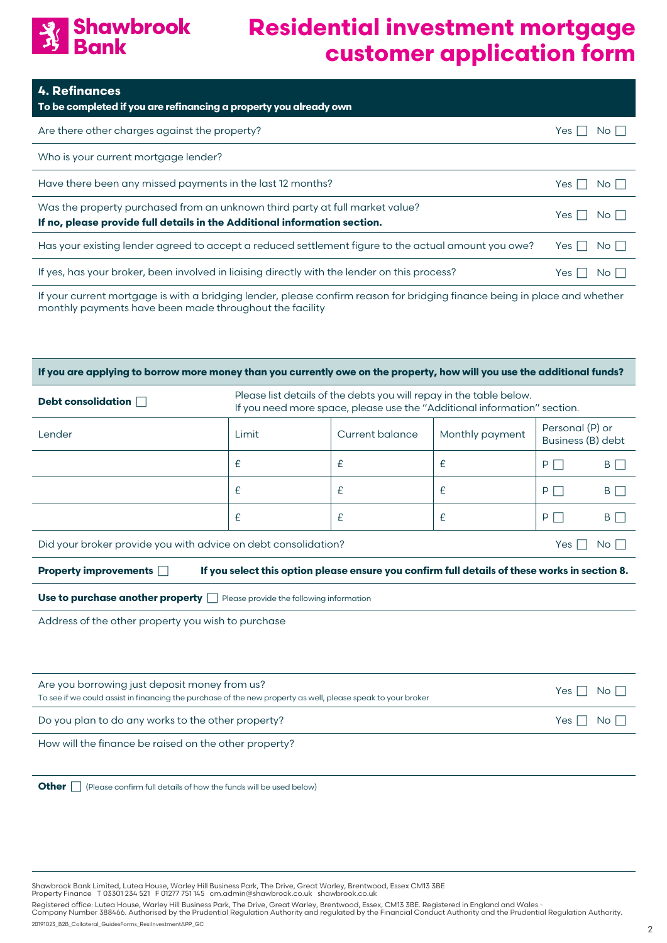

| <b>4. Refinances</b><br>To be completed if you are refinancing a property you already own                                                                 |                             |
|-----------------------------------------------------------------------------------------------------------------------------------------------------------|-----------------------------|
| Are there other charges against the property?                                                                                                             | No I I<br>Yes               |
| Who is your current mortgage lender?                                                                                                                      |                             |
| Have there been any missed payments in the last 12 months?                                                                                                | $No$ $\vert \ \vert$<br>Yes |
| Was the property purchased from an unknown third party at full market value?<br>If no, please provide full details in the Additional information section. | No <sub>1</sub><br>Yes I    |
| Has your existing lender agreed to accept a reduced settlement figure to the actual amount you owe?                                                       | No II<br>Yes I              |
| If yes, has your broker, been involved in liaising directly with the lender on this process?                                                              | $No$ $\vert \ \vert$<br>Yes |
| If your ourrant martagas is with a bridging lander places sanfirm region for bridging finance being in place and whother                                  |                             |

If your current mortgage is with a bridging lender, please confirm reason for bridging finance being in place and whether monthly payments have been made throughout the facility

| If you are applying to borrow more money than you currently owe on the property, how will you use the additional funds?                  |                                                                                                                                                 |   |   |         |                 |
|------------------------------------------------------------------------------------------------------------------------------------------|-------------------------------------------------------------------------------------------------------------------------------------------------|---|---|---------|-----------------|
| Debt consolidation                                                                                                                       | Please list details of the debts you will repay in the table below.<br>If you need more space, please use the "Additional information" section. |   |   |         |                 |
| Lender                                                                                                                                   | Personal (P) or<br>Current balance<br>Monthly payment<br>Limit<br>Business (B) debt                                                             |   |   |         |                 |
|                                                                                                                                          | £                                                                                                                                               | £ | £ | P<br>×. | B $\Box$        |
|                                                                                                                                          | £                                                                                                                                               | £ | £ | P       | B <sup>n</sup>  |
|                                                                                                                                          | £                                                                                                                                               | £ | £ | P       | B               |
| Did your broker provide you with advice on debt consolidation?                                                                           |                                                                                                                                                 |   |   | Yes I   | No <sub>1</sub> |
| If you select this option please ensure you confirm full details of these works in section 8.<br>Property improvements D                 |                                                                                                                                                 |   |   |         |                 |
| Use to purchase another property $\Box$ Please provide the following information                                                         |                                                                                                                                                 |   |   |         |                 |
| Address of the other property you wish to purchase                                                                                       |                                                                                                                                                 |   |   |         |                 |
|                                                                                                                                          |                                                                                                                                                 |   |   |         |                 |
| Are you borrowing just deposit money from us?                                                                                            |                                                                                                                                                 |   |   |         |                 |
| No <sub>1</sub><br>Yes I<br>To see if we could assist in financing the purchase of the new property as well, please speak to your broker |                                                                                                                                                 |   |   |         |                 |
| Do you plan to do any works to the other property?<br>Yes  <br>No.                                                                       |                                                                                                                                                 |   |   |         |                 |
| How will the finance be raised on the other property?                                                                                    |                                                                                                                                                 |   |   |         |                 |
|                                                                                                                                          |                                                                                                                                                 |   |   |         |                 |
| <b>Other</b><br>(Please confirm full details of how the funds will be used below)                                                        |                                                                                                                                                 |   |   |         |                 |

Shawbrook Bank Limited, Lutea House, Warley Hill Business Park, The Drive, Great Warley, Brentwood, Essex CM13 3BE<br>Property Finance T 03301 234 521 F 01277 751 145 cm.admin@shawbrook.co.uk shawbrook.co.uk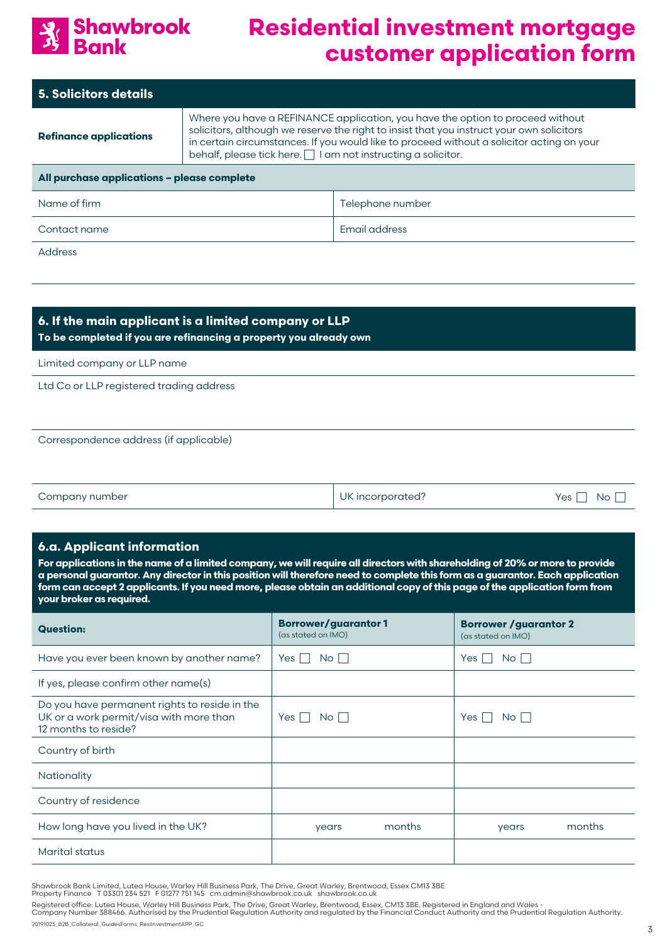

| <b>5. Solicitors details</b>                                                                                                                                                                                                                                                                                                                                               |  |  |  |
|----------------------------------------------------------------------------------------------------------------------------------------------------------------------------------------------------------------------------------------------------------------------------------------------------------------------------------------------------------------------------|--|--|--|
| Where you have a REFINANCE application, you have the option to proceed without<br>solicitors, although we reserve the right to insist that you instruct your own solicitors<br><b>Refinance applications</b><br>in certain circumstances. If you would like to proceed without a solicitor acting on your<br>behalf, please tick here.     am not instructing a solicitor. |  |  |  |
| All purchase applications - please complete                                                                                                                                                                                                                                                                                                                                |  |  |  |
| Name of firm<br>Telephone number                                                                                                                                                                                                                                                                                                                                           |  |  |  |
| Email address<br>Contact name                                                                                                                                                                                                                                                                                                                                              |  |  |  |
| <b>Address</b>                                                                                                                                                                                                                                                                                                                                                             |  |  |  |
|                                                                                                                                                                                                                                                                                                                                                                            |  |  |  |

## **6. If the main applicant is a limited company or LLP To be completed if you are refinancing a property you already own**

Limited company or LLP name

Ltd Co or LLP registered trading address

Correspondence address (if applicable)

| Company number | UK incorporated? | Yes $\Box$ No $\Box$ |
|----------------|------------------|----------------------|
|                |                  |                      |

#### **6.a. Applicant information**

**For applications in the name of a limited company, we will require all directors with shareholding of 20% or more to provide a personal guarantor. Any director in this position will therefore need to complete this form as a guarantor. Each application form can accept 2 applicants. If you need more, please obtain an additional copy of this page of the application form from your broker as required.** 

| <b>Question:</b>                                                                                                 | <b>Borrower/guarantor1</b><br>(as stated on IMO) | <b>Borrower / guarantor 2</b><br>(as stated on IMO) |
|------------------------------------------------------------------------------------------------------------------|--------------------------------------------------|-----------------------------------------------------|
| Have you ever been known by another name?                                                                        | Yes $\Box$<br>$No \Box$                          | No    <br>Yes                                       |
| If yes, please confirm other name(s)                                                                             |                                                  |                                                     |
| Do you have permanent rights to reside in the<br>UK or a work permit/visa with more than<br>12 months to reside? | $Yes$    <br>$No$                                | Yes I<br>No II                                      |
| Country of birth                                                                                                 |                                                  |                                                     |
| Nationality                                                                                                      |                                                  |                                                     |
| Country of residence                                                                                             |                                                  |                                                     |
| How long have you lived in the UK?                                                                               | months<br>years                                  | months<br>years                                     |
| <b>Marital status</b>                                                                                            |                                                  |                                                     |

Shawbrook Bank Limited, Lutea House, Warley Hill Business Park, The Drive, Great Warley, Brentwood, Essex CM13 3BE<br>Property Finance T 03301 234 521 F 01277 751 145 cm.admin@shawbrook.co.uk shawbrook.co.uk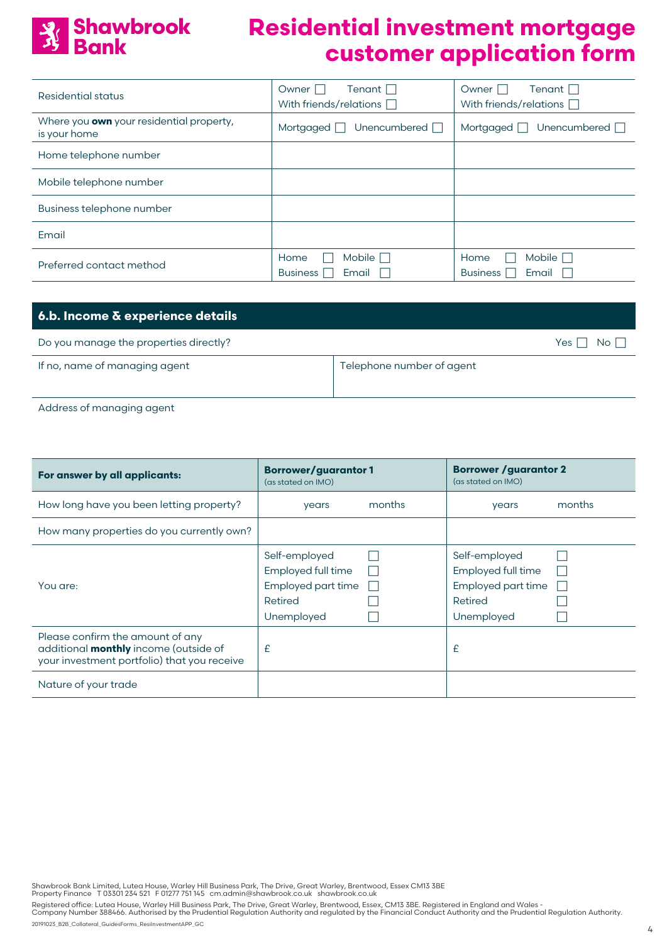

| Residential status                                       | Tenant $\Box$<br>Owner I<br>With friends/relations $\Box$ | Tenant $\Box$<br>Owner $\Box$<br>With friends/relations $\Box$ |
|----------------------------------------------------------|-----------------------------------------------------------|----------------------------------------------------------------|
| Where you own your residential property,<br>is your home | Unencumbered $\Box$<br>Mortgaged $\Box$                   | Unencumbered $\Box$<br>Mortgaged                               |
| Home telephone number                                    |                                                           |                                                                |
| Mobile telephone number                                  |                                                           |                                                                |
| Business telephone number                                |                                                           |                                                                |
| Email                                                    |                                                           |                                                                |
| Preferred contact method                                 | Mobile $\Box$<br>Home<br><b>Business</b><br>Email         | Home<br>Mobile  <br>m.<br><b>Business</b><br>Email             |

| 6.b. Income & experience details       |                            |
|----------------------------------------|----------------------------|
| Do you manage the properties directly? | No <sub>1</sub><br>Yes 1 1 |
| If no, name of managing agent          | Telephone number of agent  |

Address of managing agent

| For answer by all applicants:                                                                                                   | <b>Borrower/guarantor1</b><br>(as stated on IMO)          |        | <b>Borrower / guarantor 2</b><br>(as stated on IMO)       |        |
|---------------------------------------------------------------------------------------------------------------------------------|-----------------------------------------------------------|--------|-----------------------------------------------------------|--------|
| How long have you been letting property?                                                                                        | years                                                     | months | years                                                     | months |
| How many properties do you currently own?                                                                                       |                                                           |        |                                                           |        |
| You are:                                                                                                                        | Self-employed<br>Employed full time<br>Employed part time |        | Self-employed<br>Employed full time<br>Employed part time |        |
|                                                                                                                                 | Retired<br>Unemployed                                     |        | Retired<br>Unemployed                                     |        |
| Please confirm the amount of any<br>additional <b>monthly</b> income (outside of<br>your investment portfolio) that you receive | £                                                         |        | £                                                         |        |
| Nature of your trade                                                                                                            |                                                           |        |                                                           |        |

Shawbrook Bank Limited, Lutea House, Warley Hill Business Park, The Drive, Great Warley, Brentwood, Essex CM13 3BE<br>Property Finance T 03301 234 521 F 01277 751 145 cm.admin@shawbrook.co.uk shawbrook.co.uk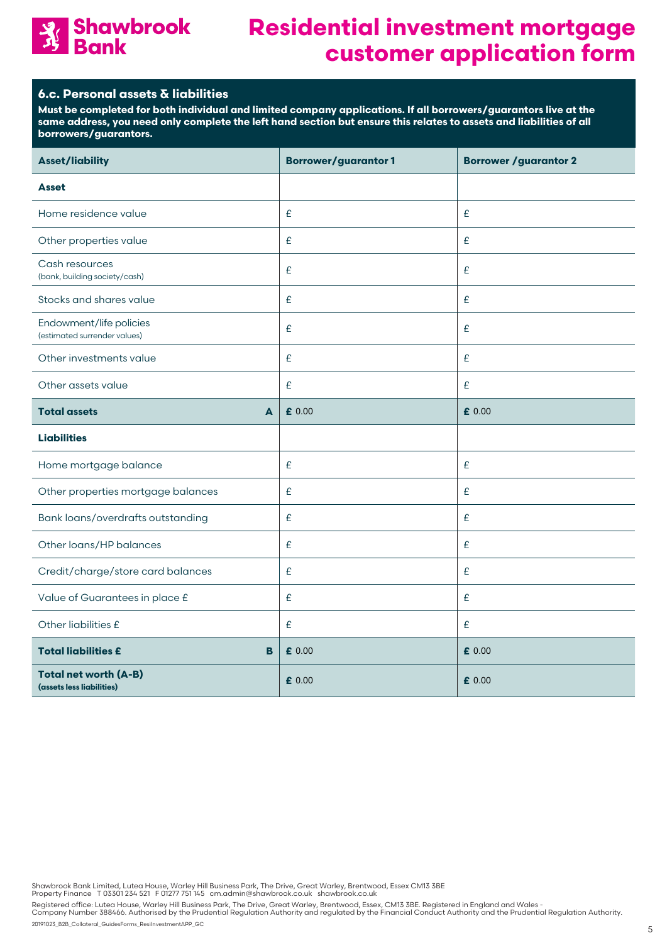

### **6.c. Personal assets & liabilities**

**Must be completed for both individual and limited company applications. If all borrowers/guarantors live at the same address, you need only complete the left hand section but ensure this relates to assets and liabilities of all borrowers/guarantors.** 

| <b>Asset/liability</b>                                    | <b>Borrower/guarantor1</b> | <b>Borrower / guarantor 2</b> |
|-----------------------------------------------------------|----------------------------|-------------------------------|
| <b>Asset</b>                                              |                            |                               |
| Home residence value                                      | £                          | $\pmb{\mathcal{E}}$           |
| Other properties value                                    | £                          | £                             |
| Cash resources<br>(bank, building society/cash)           | £                          | $\epsilon$                    |
| Stocks and shares value                                   | £                          | $\epsilon$                    |
| Endowment/life policies<br>(estimated surrender values)   | £                          | £                             |
| Other investments value                                   | £                          | $\epsilon$                    |
| Other assets value                                        | £                          | £                             |
| <b>Total assets</b><br>A                                  | £ 0.00                     | £ 0.00                        |
| <b>Liabilities</b>                                        |                            |                               |
| Home mortgage balance                                     | £                          | £                             |
| Other properties mortgage balances                        | £                          | $\epsilon$                    |
| Bank loans/overdrafts outstanding                         | £                          | £                             |
| Other loans/HP balances                                   | £                          | £                             |
| Credit/charge/store card balances                         | $\pmb{\mathcal{E}}$        | £                             |
| Value of Guarantees in place £                            | $\pmb{\mathcal{E}}$        | $\epsilon$                    |
| Other liabilities £                                       | £                          | $\epsilon$                    |
| <b>Total liabilities £</b><br>B                           | £ 0.00                     | £ 0.00                        |
| <b>Total net worth (A-B)</b><br>(assets less liabilities) | £ 0.00                     | £ 0.00                        |

Shawbrook Bank Limited, Lutea House, Warley Hill Business Park, The Drive, Great Warley, Brentwood, Essex CM13 3BE<br>Property Finance T 03301 234 521 F 01277 751 145 cm.admin@shawbrook.co.uk shawbrook.co.uk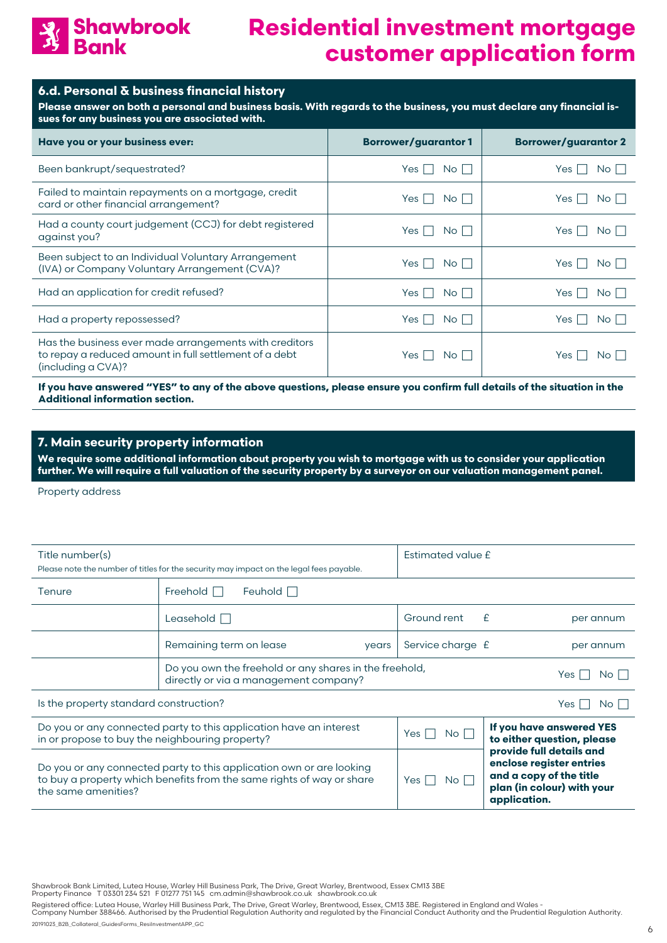

#### **6.d. Personal & business financial history**

**Please answer on both a personal and business basis. With regards to the business, you must declare any financial issues for any business you are associated with.**

| Have you or your business ever:                                                                                                        | <b>Borrower/guarantor1</b> | <b>Borrower/guarantor 2</b>   |
|----------------------------------------------------------------------------------------------------------------------------------------|----------------------------|-------------------------------|
| Been bankrupt/sequestrated?                                                                                                            | Yes II<br>No II            | $No$ $\vert$ $\vert$<br>Yes I |
| Failed to maintain repayments on a mortgage, credit<br>card or other financial arrangement?                                            | $Yes$    <br>No II         | Yes<br>No                     |
| Had a county court judgement (CCJ) for debt registered<br>against you?                                                                 | $Yes$   $\vert$<br>No II   | $No$    <br>Yes               |
| Been subject to an Individual Voluntary Arrangement<br>(IVA) or Company Voluntary Arrangement (CVA)?                                   | No II<br>Yes I I           | Yes I<br>No                   |
| Had an application for credit refused?                                                                                                 | Yes    <br>No II           | $No$ $\vert \ \vert$<br>Yes   |
| Had a property repossessed?                                                                                                            | Yes    <br>No II           | Yes  <br>No I I               |
| Has the business ever made arrangements with creditors<br>to repay a reduced amount in full settlement of a debt<br>(including a CVA)? | Yes I<br>No I              | Yes<br>No II                  |

**If you have answered "YES" to any of the above questions, please ensure you confirm full details of the situation in the Additional information section.**

#### **7. Main security property information**

**We require some additional information about property you wish to mortgage with us to consider your application further. We will require a full valuation of the security property by a surveyor on our valuation management panel.**

Property address

| Title number(s)                                          | Please note the number of titles for the security may impact on the legal fees payable.                                                       | Estimated value £ |                                                                                                                               |  |  |  |  |  |
|----------------------------------------------------------|-----------------------------------------------------------------------------------------------------------------------------------------------|-------------------|-------------------------------------------------------------------------------------------------------------------------------|--|--|--|--|--|
| Tenure                                                   | Freehold $\Box$<br>Feuhold $\Box$                                                                                                             |                   |                                                                                                                               |  |  |  |  |  |
|                                                          | Leasehold $\Box$                                                                                                                              | Ground rent       | £<br>per annum                                                                                                                |  |  |  |  |  |
|                                                          | Remaining term on lease<br>years                                                                                                              | Service charge £  | per annum                                                                                                                     |  |  |  |  |  |
|                                                          | Do you own the freehold or any shares in the freehold,<br>directly or via a management company?                                               |                   | Yes I<br>No L                                                                                                                 |  |  |  |  |  |
| Is the property standard construction?<br>Yes I<br>No II |                                                                                                                                               |                   |                                                                                                                               |  |  |  |  |  |
| in or propose to buy the neighbouring property?          | Do you or any connected party to this application have an interest                                                                            | Yes<br>No l       | If you have answered YES<br>to either question, please                                                                        |  |  |  |  |  |
| the same amenities?                                      | Do you or any connected party to this application own or are looking<br>to buy a property which benefits from the same rights of way or share | Yes  <br>No.      | provide full details and<br>enclose register entries<br>and a copy of the title<br>plan (in colour) with your<br>application. |  |  |  |  |  |

Shawbrook Bank Limited, Lutea House, Warley Hill Business Park, The Drive, Great Warley, Brentwood, Essex CM13 3BE<br>Property Finance T 03301 234 521 F 01277 751 145 cm.admin@shawbrook.co.uk shawbrook.co.uk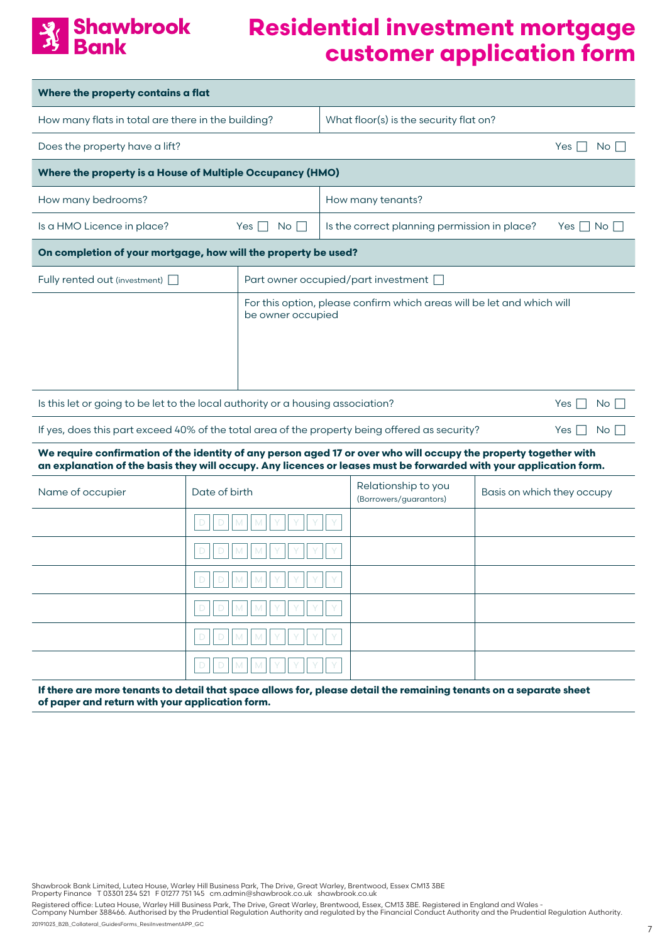

| Where the property contains a flat                                                                                                                                                                                                     |               |                                 |                                        |                                                                        |                            |                      |  |  |
|----------------------------------------------------------------------------------------------------------------------------------------------------------------------------------------------------------------------------------------|---------------|---------------------------------|----------------------------------------|------------------------------------------------------------------------|----------------------------|----------------------|--|--|
| How many flats in total are there in the building?                                                                                                                                                                                     |               |                                 | What floor(s) is the security flat on? |                                                                        |                            |                      |  |  |
| Does the property have a lift?                                                                                                                                                                                                         |               |                                 |                                        |                                                                        |                            | No<br>Yes I          |  |  |
| Where the property is a House of Multiple Occupancy (HMO)                                                                                                                                                                              |               |                                 |                                        |                                                                        |                            |                      |  |  |
| How many bedrooms?                                                                                                                                                                                                                     |               |                                 |                                        | How many tenants?                                                      |                            |                      |  |  |
| Is a HMO Licence in place?                                                                                                                                                                                                             |               | No <sub>1</sub><br>Yes $  \,  $ |                                        | Is the correct planning permission in place?                           |                            | Yes $\Box$ No $\Box$ |  |  |
| On completion of your mortgage, how will the property be used?                                                                                                                                                                         |               |                                 |                                        |                                                                        |                            |                      |  |  |
| Fully rented out (investment)                                                                                                                                                                                                          |               |                                 |                                        | Part owner occupied/part investment                                    |                            |                      |  |  |
| be owner occupied                                                                                                                                                                                                                      |               |                                 |                                        | For this option, please confirm which areas will be let and which will |                            |                      |  |  |
| Is this let or going to be let to the local authority or a housing association?                                                                                                                                                        |               |                                 |                                        |                                                                        |                            | $No \Box$<br>$Yes$   |  |  |
| If yes, does this part exceed 40% of the total area of the property being offered as security?                                                                                                                                         |               |                                 |                                        |                                                                        |                            | Yes  <br>$No$ $\Box$ |  |  |
| We require confirmation of the identity of any person aged 17 or over who will occupy the property together with<br>an explanation of the basis they will occupy. Any licences or leases must be forwarded with your application form. |               |                                 |                                        |                                                                        |                            |                      |  |  |
| Name of occupier                                                                                                                                                                                                                       | Date of birth |                                 |                                        | Relationship to you<br>(Borrowers/guarantors)                          | Basis on which they occupy |                      |  |  |
|                                                                                                                                                                                                                                        |               |                                 |                                        |                                                                        |                            |                      |  |  |
|                                                                                                                                                                                                                                        |               |                                 |                                        |                                                                        |                            |                      |  |  |
|                                                                                                                                                                                                                                        |               | ⊐∟                              |                                        |                                                                        |                            |                      |  |  |
|                                                                                                                                                                                                                                        |               |                                 |                                        |                                                                        |                            |                      |  |  |
|                                                                                                                                                                                                                                        |               |                                 |                                        |                                                                        |                            |                      |  |  |
|                                                                                                                                                                                                                                        |               |                                 |                                        |                                                                        |                            |                      |  |  |
| If there are more tenants to detail that space allows for, please detail the remaining tenants on a separate sheet<br>of paper and return with your application form.                                                                  |               |                                 |                                        |                                                                        |                            |                      |  |  |

Shawbrook Bank Limited, Lutea House, Warley Hill Business Park, The Drive, Great Warley, Brentwood, Essex CM13 3BE<br>Property Finance T 03301 234 521 F 01277 751 145 cm.admin@shawbrook.co.uk shawbrook.co.uk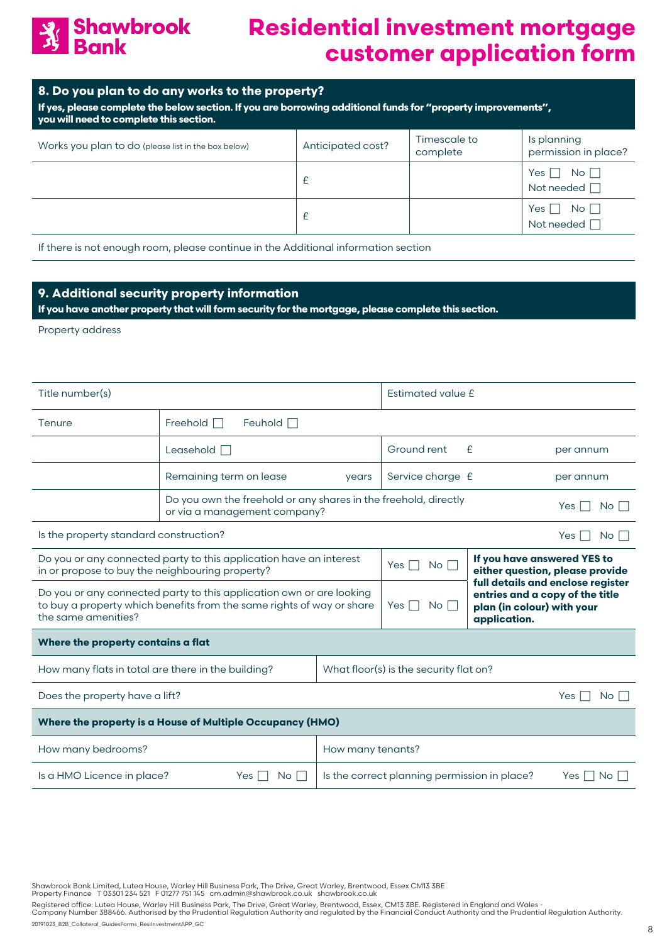

#### **8. Do you plan to do any works to the property?**

**If yes, please complete the below section. If you are borrowing additional funds for "property improvements", you will need to complete this section.**

| Works you plan to do (please list in the box below) | Anticipated cost? | Timescale to<br>complete | Is planning<br>permission in place?       |
|-----------------------------------------------------|-------------------|--------------------------|-------------------------------------------|
|                                                     |                   |                          | Yes  <br>No    <br>Not needed $\Box$      |
|                                                     |                   |                          | Yes $\Box$ No $\Box$<br>Not needed $\Box$ |

If there is not enough room, please continue in the Additional information section

## **9. Additional security property information**

**If you have another property that will form security for the mortgage, please complete this section.**

Property address

| Title number(s)                                           |                                                                                                                                               |                                                                  | Estimated value £                                                                                                                                   |                                                                |                  |  |  |
|-----------------------------------------------------------|-----------------------------------------------------------------------------------------------------------------------------------------------|------------------------------------------------------------------|-----------------------------------------------------------------------------------------------------------------------------------------------------|----------------------------------------------------------------|------------------|--|--|
| Tenure                                                    | Freehold $\Box$<br>Feuhold $\Box$                                                                                                             |                                                                  |                                                                                                                                                     |                                                                |                  |  |  |
|                                                           | Leasehold $\Box$                                                                                                                              |                                                                  | Ground rent                                                                                                                                         | £                                                              | per annum        |  |  |
|                                                           | Remaining term on lease                                                                                                                       | years                                                            | Service charge £                                                                                                                                    |                                                                | per annum        |  |  |
|                                                           | Do you own the freehold or any shares in the freehold, directly<br>or via a management company?                                               |                                                                  | $No \Box$<br>Yes                                                                                                                                    |                                                                |                  |  |  |
| Is the property standard construction?                    |                                                                                                                                               | No <sub>1</sub><br>Yes I                                         |                                                                                                                                                     |                                                                |                  |  |  |
| in or propose to buy the neighbouring property?           | Do you or any connected party to this application have an interest                                                                            |                                                                  | Yes<br>No <sub>1</sub>                                                                                                                              | If you have answered YES to<br>either question, please provide |                  |  |  |
| the same amenities?                                       | Do you or any connected party to this application own or are looking<br>to buy a property which benefits from the same rights of way or share |                                                                  | full details and enclose register<br>entries and a copy of the title<br>Yes $\vert \ \vert$<br>No    <br>plan (in colour) with your<br>application. |                                                                |                  |  |  |
| Where the property contains a flat                        |                                                                                                                                               |                                                                  |                                                                                                                                                     |                                                                |                  |  |  |
| How many flats in total are there in the building?        |                                                                                                                                               | What floor(s) is the security flat on?                           |                                                                                                                                                     |                                                                |                  |  |  |
| Does the property have a lift?                            |                                                                                                                                               |                                                                  |                                                                                                                                                     |                                                                | $No \Box$<br>Yes |  |  |
| Where the property is a House of Multiple Occupancy (HMO) |                                                                                                                                               |                                                                  |                                                                                                                                                     |                                                                |                  |  |  |
| How many bedrooms?                                        |                                                                                                                                               | How many tenants?                                                |                                                                                                                                                     |                                                                |                  |  |  |
| Is a HMO Licence in place?                                | No <sub>1</sub><br>Yes I                                                                                                                      | Is the correct planning permission in place?<br>Yes    <br>No II |                                                                                                                                                     |                                                                |                  |  |  |

Shawbrook Bank Limited, Lutea House, Warley Hill Business Park, The Drive, Great Warley, Brentwood, Essex CM13 3BE<br>Property Finance T 03301 234 521 F 01277 751 145 cm.admin@shawbrook.co.uk shawbrook.co.uk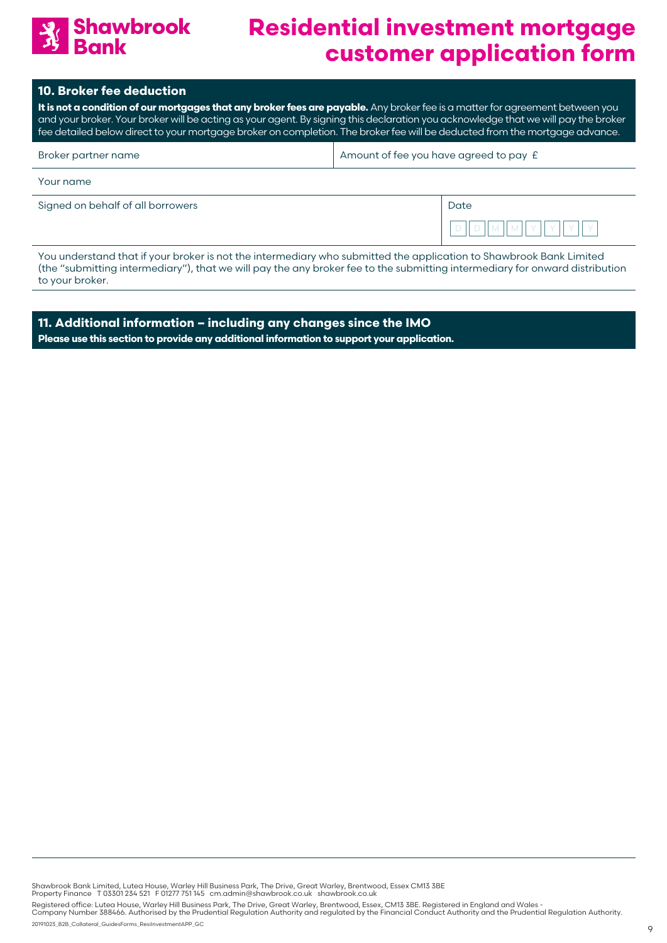

#### **10. Broker fee deduction**

**It is not a condition of our mortgages that any broker fees are payable.** Any broker fee is a matter for agreement between you and your broker. Your broker will be acting as your agent. By signing this declaration you acknowledge that we will pay the broker fee detailed below direct to your mortgage broker on completion. The broker fee will be deducted from the mortgage advance.

| Broker partner name | Amount of fee you have agreed to pay $E$ |
|---------------------|------------------------------------------|
| Your name           |                                          |

| Signed on behalf of all borrowers | Date                          |
|-----------------------------------|-------------------------------|
|                                   | $\overline{\phantom{a}}$<br>ー |

You understand that if your broker is not the intermediary who submitted the application to Shawbrook Bank Limited (the "submitting intermediary"), that we will pay the any broker fee to the submitting intermediary for onward distribution to your broker.

**11. Additional information – including any changes since the IMO Please use this section to provide any additional information to support your application.**

Shawbrook Bank Limited, Lutea House, Warley Hill Business Park, The Drive, Great Warley, Brentwood, Essex CM13 3BE<br>Property Finance T 03301 234 521 F 01277 751 145 cm.admin@shawbrook.co.uk shawbrook.co.uk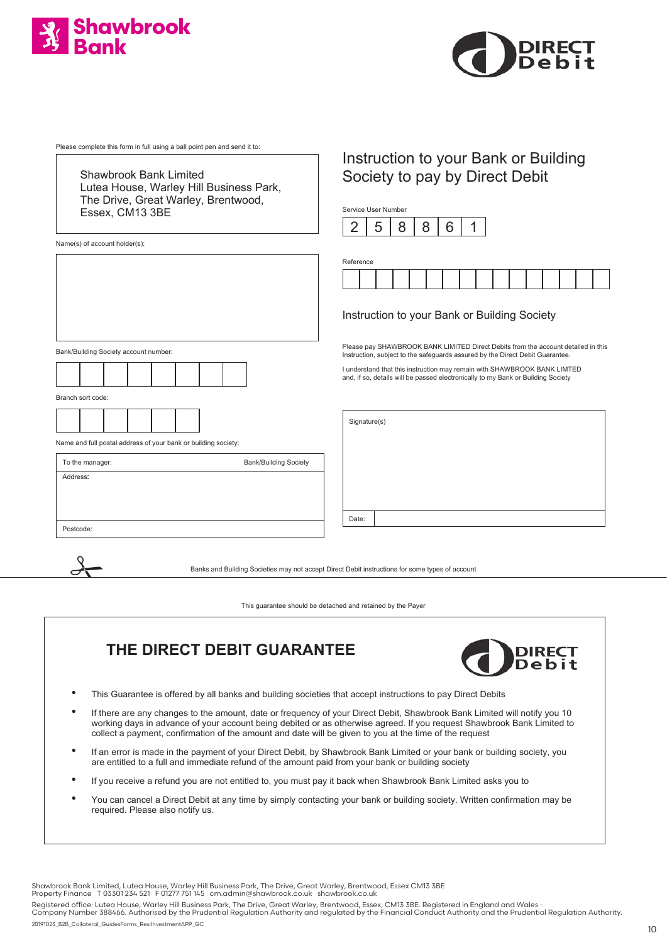



Please complete this form in full using a ball point pen and send it to:

Shawbrook Bank Limited Lutea House, Warley Hill Business Park, The Drive, Great Warley, Brentwood, Essex, CM13 3BE

Name(s) of account holder(s):

Bank/Building Society account number:



Branch sort code:

 $\frac{1}{\sqrt{2}}$ 



Name and full postal address of your bank or building society:

| To the manager: | <b>Bank/Building Society</b> |
|-----------------|------------------------------|
| Address:        |                              |
|                 |                              |
|                 |                              |
| Postcode:       |                              |

## Instruction to your Bank or Building Society to pay by Direct Debit

Service User Number



| Reference |  |  |  |  |  |  |  |
|-----------|--|--|--|--|--|--|--|
|           |  |  |  |  |  |  |  |

#### Instruction to your Bank or Building Society

Please pay SHAWBROOK BANK LIMITED Direct Debits from the account detailed in this Instruction, subject to the safeguards assured by the Direct Debit Guarantee.

I understand that this instruction may remain with SHAWBROOK BANK LIMTED and, if so, details will be passed electronically to my Bank or Building Society

Signature(s)

Date:

Banks and Building Societies may not accept Direct Debit instructions for some types of account

This guarantee should be detached and retained by the Payer

## **THE DIRECT DEBIT GUARANTEE**



- This Guarantee is offered by all banks and building societies that accept instructions to pay Direct Debits
- If there are any changes to the amount, date or frequency of your Direct Debit, Shawbrook Bank Limited will notify you 10 working days in advance of your account being debited or as otherwise agreed. If you request Shawbrook Bank Limited to collect a payment, confirmation of the amount and date will be given to you at the time of the request
- If an error is made in the payment of your Direct Debit, by Shawbrook Bank Limited or your bank or building society, you are entitled to a full and immediate refund of the amount paid from your bank or building society
- If you receive a refund you are not entitled to, you must pay it back when Shawbrook Bank Limited asks you to
- You can cancel a Direct Debit at any time by simply contacting your bank or building society. Written confirmation may be required. Please also notify us.

Shawbrook Bank Limited, Lutea House, Warley Hill Business Park, The Drive, Great Warley, Brentwood, Essex CM13 3BE<br>Property Finance T 03301 234 521 F 01277 751 145 cm.admin@shawbrook.co.uk shawbrook.co.uk